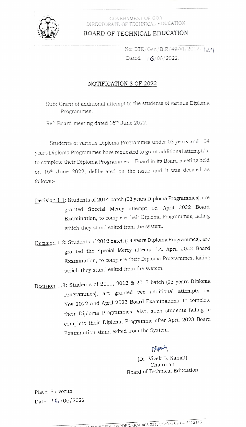

#### GOVERNMENT OF GOA DIRECTORATE OF TECHNICAL EDUCATION

BOARD OF TECHNICAL EDUCATION

No: BTE/Gen/B.R/49-VI/2012/139 Dated:  $\frac{16}{06}/2022$ .

### NOTIFICATION 3 OF 2022

Sub: Grant of additional attempt to the students of various Dìploma Programmes.

Ref: Board meeting dated 16<sup>th</sup> June 2022.

Students of various Diploma Programmes under 03 years and 04 years Diploma Programmes have requested to grant additional attempt/s, to complete their Diploma Programmes. Board in its Board meeting held on 16th June 2022, deliberated on the issue and it was decided as follows:

- Decision 1.1: Students of 2014 batch (03 years Diploma Programmes), are granted Special Mercy attempt i.e. April 2022 Board Examination, to complete their Diploma Programmes, failing which they stand exited from the system.
- Decision 1.2: Students of 2012 batch (04 years Diploma Programmes), are granted the Special Mercy attempt i.e. April 2022 Board Examination, to complete their Diploma Programmes, failing which they stand exited from the system.
- Decision 1.3: Students of 2011, 2012 & 2013 batch (03 years Diploma Programmes), are granted two additional attempts i.e. Nov 2022 and April 2023 Board Examinations, to complete their Diploma Programmes. Also, such students failing to complete their Diploma Programme after April 2023 Board Examination stand exited from the System.

Inymer

(Dr. Vivek B. Kamat) Chairman Board of Technical Education

Place: Porvorim Date: 1G/06/2022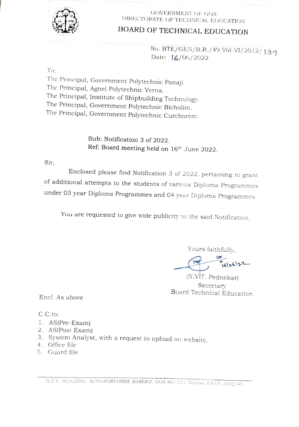

### GOVERNMENT OF GOA DIRECTORATE OF TECHNICAL EDUCATION

# BOARD OF TECHNICAL EDUCATION

No. BTE/GEN/B.R./49 Vol-VI/2012/139<br>Date: 16/06/2022

To

The Principal, Government Polytechnic Panaji.<br>The Principal, Agnel Polytechnic Verna.<br>The Principal, Institute of Shipbuilding Technology. The Principal, Government Polytechnic Bicholim. The Principal, Government Polytechnic Curchorem.

> Sub: Notification 3 of 2022. Ref: Board meeting held on 16<sup>th</sup> June 2022.

Sir,

Enclosed please find Notification 3 of 2022, pertaining to grant of additional attempts to the students of various Diploma Programmes under 03 year Diploma Programmes and 04 year Diploma Programmes.

You are requested to give wide publicity to the said Notification.

Yours faithfully,

Telos!

(N.VIT. Pednekar) Secretary<br>Board Technical Education

Encl. As above

C.C.to:

- 1. AS(Pre-Exam)
- AS(Post Exam) 2
- 3. System Analyst, with a request to upload on website.
- 4. Office file
- 5. Guard file